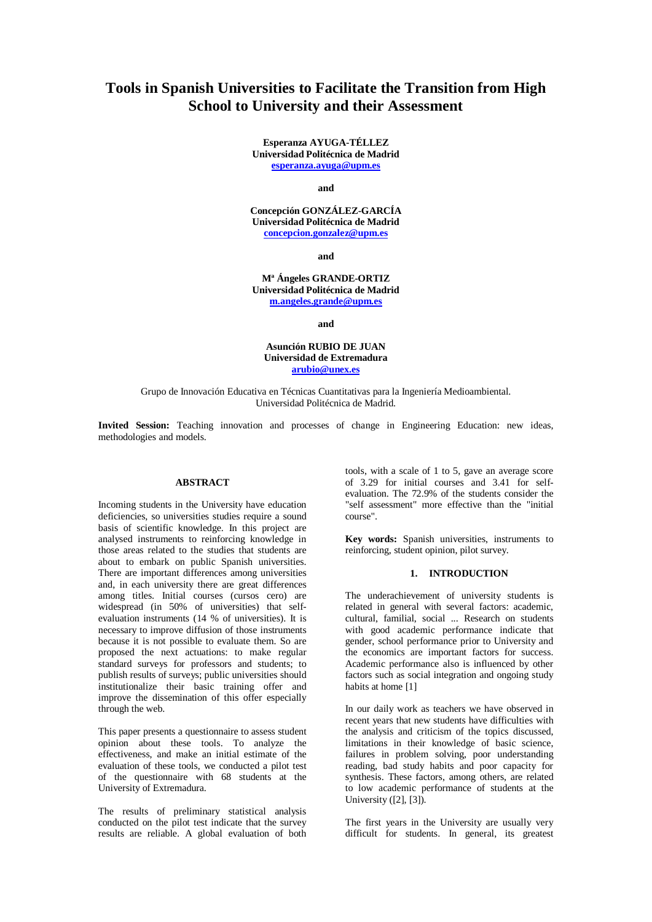# **Tools in Spanish Universities to Facilitate the Transition from High School to University and their Assessment**

**Esperanza AYUGA-TÉLLEZ Universidad Politécnica de Madrid esperanza.ayuga@upm.es**

**and**

**Concepción GONZÁLEZ-GARCÍA Universidad Politécnica de Madrid concepcion.gonzalez@upm.es**

**and**

**Mª Ángeles GRANDE-ORTIZ Universidad Politécnica de Madrid m.angeles.grande@upm.es**

**and**

**Asunción RUBIO DE JUAN Universidad de Extremadura arubio@unex.es**

Grupo de Innovación Educativa en Técnicas Cuantitativas para la Ingeniería Medioambiental. Universidad Politécnica de Madrid.

**Invited Session:** Teaching innovation and processes of change in Engineering Education: new ideas, methodologies and models.

#### **ABSTRACT**

Incoming students in the University have education deficiencies, so universities studies require a sound basis of scientific knowledge. In this project are analysed instruments to reinforcing knowledge in those areas related to the studies that students are about to embark on public Spanish universities. There are important differences among universities and, in each university there are great differences among titles. Initial courses (cursos cero) are widespread (in 50% of universities) that selfevaluation instruments (14 % of universities). It is necessary to improve diffusion of those instruments because it is not possible to evaluate them. So are proposed the next actuations: to make regular standard surveys for professors and students; to publish results of surveys; public universities should institutionalize their basic training offer and improve the dissemination of this offer especially through the web.

This paper presents a questionnaire to assess student opinion about these tools. To analyze the effectiveness, and make an initial estimate of the evaluation of these tools, we conducted a pilot test of the questionnaire with 68 students at the University of Extremadura.

The results of preliminary statistical analysis conducted on the pilot test indicate that the survey results are reliable. A global evaluation of both tools, with a scale of 1 to 5, gave an average score of 3.29 for initial courses and 3.41 for selfevaluation. The 72.9% of the students consider the "self assessment" more effective than the "initial course".

**Key words:** Spanish universities, instruments to reinforcing, student opinion, pilot survey.

# **1. INTRODUCTION**

The underachievement of university students is related in general with several factors: academic, cultural, familial, social ... Research on students with good academic performance indicate that gender, school performance prior to University and the economics are important factors for success. Academic performance also is influenced by other factors such as social integration and ongoing study habits at home [1]

In our daily work as teachers we have observed in recent years that new students have difficulties with the analysis and criticism of the topics discussed, limitations in their knowledge of basic science, failures in problem solving, poor understanding reading, bad study habits and poor capacity for synthesis. These factors, among others, are related to low academic performance of students at the University ([2], [3]).

The first years in the University are usually very difficult for students. In general, its greatest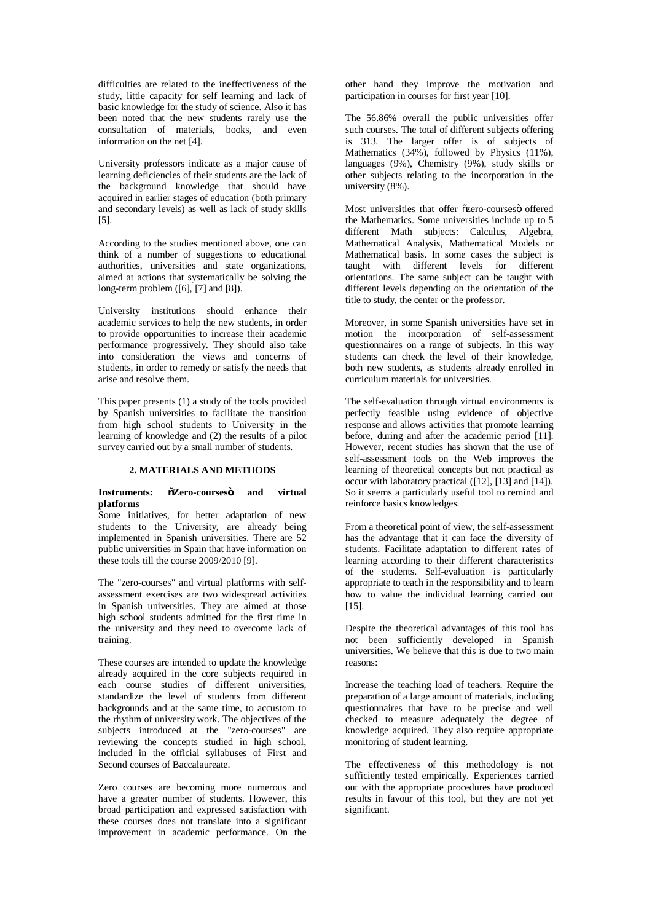difficulties are related to the ineffectiveness of the study, little capacity for self learning and lack of basic knowledge for the study of science. Also it has been noted that the new students rarely use the consultation of materials, books, and even information on the net [4].

University professors indicate as a major cause of learning deficiencies of their students are the lack of the background knowledge that should have acquired in earlier stages of education (both primary and secondary levels) as well as lack of study skills [5].

According to the studies mentioned above, one can think of a number of suggestions to educational authorities, universities and state organizations, aimed at actions that systematically be solving the long-term problem ([6], [7] and [8]).

University institutions should enhance their academic services to help the new students, in order to provide opportunities to increase their academic performance progressively. They should also take into consideration the views and concerns of students, in order to remedy or satisfy the needs that arise and resolve them.

This paper presents (1) a study of the tools provided by Spanish universities to facilitate the transition from high school students to University in the learning of knowledge and (2) the results of a pilot survey carried out by a small number of students.

#### **2. MATERIALS AND METHODS**

# **Instruments: "Zero-courses" and virtual platforms**

Some initiatives, for better adaptation of new students to the University, are already being implemented in Spanish universities. There are 52 public universities in Spain that have information on these tools till the course 2009/2010 [9].

The "zero-courses" and virtual platforms with selfassessment exercises are two widespread activities in Spanish universities. They are aimed at those high school students admitted for the first time in the university and they need to overcome lack of training.

These courses are intended to update the knowledge already acquired in the core subjects required in each course studies of different universities, standardize the level of students from different backgrounds and at the same time, to accustom to the rhythm of university work. The objectives of the subjects introduced at the "zero-courses" are reviewing the concepts studied in high school, included in the official syllabuses of First and Second courses of Baccalaureate.

Zero courses are becoming more numerous and have a greater number of students. However, this broad participation and expressed satisfaction with these courses does not translate into a significant improvement in academic performance. On the

other hand they improve the motivation and participation in courses for first year [10].

The 56.86% overall the public universities offer such courses. The total of different subjects offering is 313. The larger offer is of subjects of Mathematics (34%), followed by Physics (11%), languages (9%), Chemistry (9%), study skills or other subjects relating to the incorporation in the university (8%).

Most universities that offer ozero-courseso offered the Mathematics. Some universities include up to 5 different Math subjects: Calculus, Algebra, Mathematical Analysis, Mathematical Models or Mathematical basis. In some cases the subject is taught with different levels for different orientations. The same subject can be taught with different levels depending on the orientation of the title to study, the center or the professor.

Moreover, in some Spanish universities have set in motion the incorporation of self-assessment questionnaires on a range of subjects. In this way students can check the level of their knowledge, both new students, as students already enrolled in curriculum materials for universities.

The self-evaluation through virtual environments is perfectly feasible using evidence of objective response and allows activities that promote learning before, during and after the academic period [11]. However, recent studies has shown that the use of self-assessment tools on the Web improves the learning of theoretical concepts but not practical as occur with laboratory practical ([12], [13] and [14]). So it seems a particularly useful tool to remind and reinforce basics knowledges.

From a theoretical point of view, the self-assessment has the advantage that it can face the diversity of students. Facilitate adaptation to different rates of learning according to their different characteristics of the students. Self-evaluation is particularly appropriate to teach in the responsibility and to learn how to value the individual learning carried out [15].

Despite the theoretical advantages of this tool has not been sufficiently developed in Spanish universities. We believe that this is due to two main reasons:

Increase the teaching load of teachers. Require the preparation of a large amount of materials, including questionnaires that have to be precise and well checked to measure adequately the degree of knowledge acquired. They also require appropriate monitoring of student learning.

The effectiveness of this methodology is not sufficiently tested empirically. Experiences carried out with the appropriate procedures have produced results in favour of this tool, but they are not yet significant.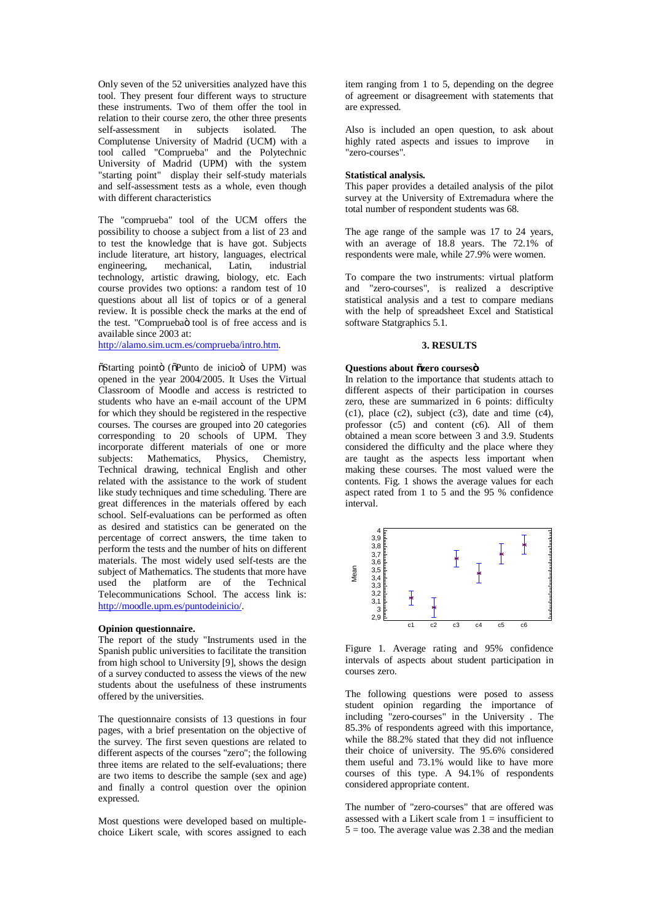Only seven of the 52 universities analyzed have this tool. They present four different ways to structure these instruments. Two of them offer the tool in relation to their course zero, the other three presents self-assessment in subjects isolated. The Complutense University of Madrid (UCM) with a tool called "Comprueba" and the Polytechnic University of Madrid (UPM) with the system "starting point" display their self-study materials and self-assessment tests as a whole, even though with different characteristics

The "comprueba" tool of the UCM offers the possibility to choose a subject from a list of 23 and to test the knowledge that is have got. Subjects include literature, art history, languages, electrical engineering, mechanical, Latin, industrial technology, artistic drawing, biology, etc. Each course provides two options: a random test of 10 questions about all list of topics or of a general review. It is possible check the marks at the end of the test. "Compruebaö tool is of free access and is available since 2003 at:

http://alamo.sim.ucm.es/comprueba/intro.htm.

 $\tilde{\text{o}}$ Starting pointo ( $\tilde{\text{o}}$ Punto de inicio of UPM) was opened in the year 2004/2005. It Uses the Virtual Classroom of Moodle and access is restricted to students who have an e-mail account of the UPM for which they should be registered in the respective courses. The courses are grouped into 20 categories corresponding to 20 schools of UPM. They incorporate different materials of one or more subjects: Mathematics, Physics, Chemistry, Technical drawing, technical English and other related with the assistance to the work of student like study techniques and time scheduling. There are great differences in the materials offered by each school. Self-evaluations can be performed as often as desired and statistics can be generated on the percentage of correct answers, the time taken to perform the tests and the number of hits on different materials. The most widely used self-tests are the subject of Mathematics. The students that more have used the platform are of the Technical Telecommunications School. The access link is: http://moodle.upm.es/puntodeinicio/.

## **Opinion questionnaire.**

The report of the study "Instruments used in the Spanish public universities to facilitate the transition from high school to University [9], shows the design of a survey conducted to assess the views of the new students about the usefulness of these instruments offered by the universities.

The questionnaire consists of 13 questions in four pages, with a brief presentation on the objective of the survey. The first seven questions are related to different aspects of the courses "zero"; the following three items are related to the self-evaluations; there are two items to describe the sample (sex and age) and finally a control question over the opinion expressed.

Most questions were developed based on multiplechoice Likert scale, with scores assigned to each item ranging from 1 to 5, depending on the degree of agreement or disagreement with statements that are expressed.

Also is included an open question, to ask about highly rated aspects and issues to improve in "zero-courses".

#### **Statistical analysis.**

This paper provides a detailed analysis of the pilot survey at the University of Extremadura where the total number of respondent students was 68.

The age range of the sample was 17 to 24 years, with an average of 18.8 years. The 72.1% of respondents were male, while 27.9% were women.

To compare the two instruments: virtual platform and "zero-courses", is realized a descriptive statistical analysis and a test to compare medians with the help of spreadsheet Excel and Statistical software Statgraphics 5.1.

# **3. RESULTS**

## **Questions about "zero courses"**

In relation to the importance that students attach to different aspects of their participation in courses zero, these are summarized in 6 points: difficulty  $(c1)$ , place  $(c2)$ , subject  $(c3)$ , date and time  $(c4)$ , professor (c5) and content (c6). All of them obtained a mean score between 3 and 3.9. Students considered the difficulty and the place where they are taught as the aspects less important when making these courses. The most valued were the contents. Fig. 1 shows the average values for each aspect rated from 1 to 5 and the 95 % confidence interval.



Figure 1. Average rating and 95% confidence intervals of aspects about student participation in courses zero.

The following questions were posed to assess student opinion regarding the importance of including "zero-courses" in the University . The 85.3% of respondents agreed with this importance, while the  $88.2\%$  stated that they did not influence their choice of university. The 95.6% considered them useful and 73.1% would like to have more courses of this type. A 94.1% of respondents considered appropriate content.

The number of "zero-courses" that are offered was assessed with a Likert scale from  $1 =$  insufficient to  $5 = \text{too}$ . The average value was 2.38 and the median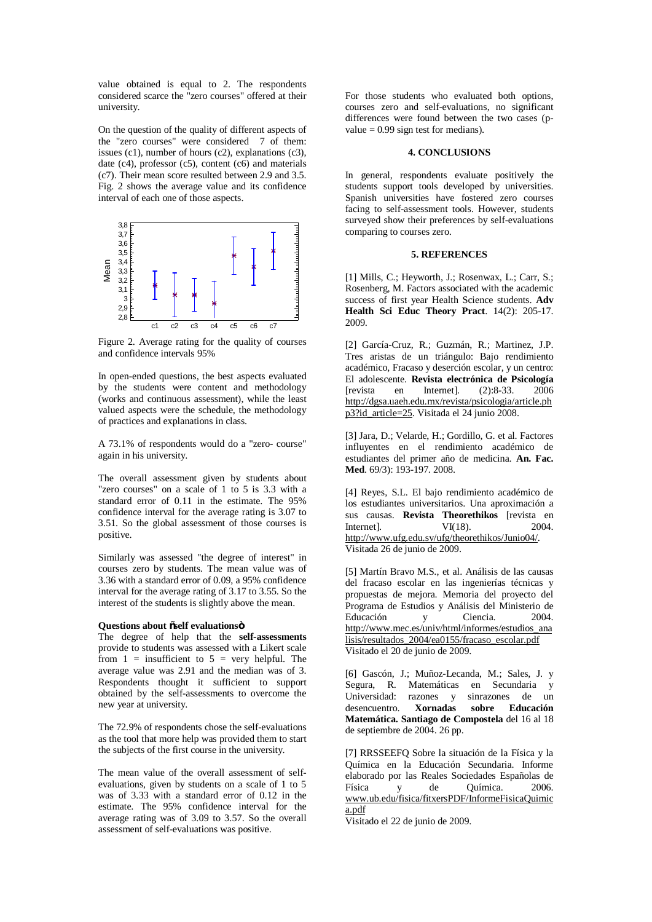value obtained is equal to 2. The respondents considered scarce the "zero courses" offered at their university.

On the question of the quality of different aspects of the "zero courses" were considered 7 of them: issues (c1), number of hours (c2), explanations (c3), date (c4), professor (c5), content  $(c6)$  and materials (c7). Their mean score resulted between 2.9 and 3.5. Fig. 2 shows the average value and its confidence interval of each one of those aspects.



Figure 2. Average rating for the quality of courses and confidence intervals 95%

In open-ended questions, the best aspects evaluated by the students were content and methodology (works and continuous assessment), while the least valued aspects were the schedule, the methodology of practices and explanations in class.

A 73.1% of respondents would do a "zero- course" again in his university.

The overall assessment given by students about "zero courses" on a scale of 1 to 5 is 3.3 with a standard error of 0.11 in the estimate. The 95% confidence interval for the average rating is 3.07 to 3.51. So the global assessment of those courses is positive.

Similarly was assessed "the degree of interest" in courses zero by students. The mean value was of 3.36 with a standard error of 0.09, a 95% confidence interval for the average rating of 3.17 to 3.55. So the interest of the students is slightly above the mean.

#### **Questions about "self evaluations"**

The degree of help that the **self-assessments** provide to students was assessed with a Likert scale from  $1 =$  insufficient to  $5 =$  very helpful. The average value was 2.91 and the median was of 3. Respondents thought it sufficient to support obtained by the self-assessments to overcome the new year at university.

The 72.9% of respondents chose the self-evaluations as the tool that more help was provided them to start the subjects of the first course in the university.

The mean value of the overall assessment of selfevaluations, given by students on a scale of 1 to 5 was of 3.33 with a standard error of 0.12 in the estimate. The 95% confidence interval for the average rating was of 3.09 to 3.57. So the overall assessment of self-evaluations was positive.

For those students who evaluated both options, courses zero and self-evaluations, no significant differences were found between the two cases (pvalue  $= 0.99$  sign test for medians).

# **4. CONCLUSIONS**

In general, respondents evaluate positively the students support tools developed by universities. Spanish universities have fostered zero courses facing to self-assessment tools. However, students surveyed show their preferences by self-evaluations comparing to courses zero.

## **5. REFERENCES**

[1] Mills, C.; Heyworth, J.; Rosenwax, L.; Carr, S.; Rosenberg, M. Factors associated with the academic success of first year Health Science students. **Adv Health Sci Educ Theory Pract**. 14(2): 205-17. 2009.

[2] García-Cruz, R.; Guzmán, R.; Martinez, J.P. Tres aristas de un triángulo: Bajo rendimiento académico, Fracaso y deserción escolar, y un centro: El adolescente. **Revista electrónica de Psicología** [revista en Internet]. (2):8-33. 2006 http://dgsa.uaeh.edu.mx/revista/psicologia/article.ph p3?id\_article=25. Visitada el 24 junio 2008.

[3] Jara, D.; Velarde, H.; Gordillo, G. et al. Factores influyentes en el rendimiento académico de estudiantes del primer año de medicina. **An. Fac. Med**. 69/3): 193-197. 2008.

[4] Reyes, S.L. El bajo rendimiento académico de los estudiantes universitarios. Una aproximación a sus causas. **Revista Theorethikos** [revista en Internet]. VI(18). http://www.ufg.edu.sv/ufg/theorethikos/Junio04/. Visitada 26 de junio de 2009.

[5] Martín Bravo M.S., et al. Análisis de las causas del fracaso escolar en las ingenierías técnicas y propuestas de mejora. Memoria del proyecto del Programa de Estudios y Análisis del Ministerio de Educación y Ciencia. 2004. http://www.mec.es/univ/html/informes/estudios\_ana lisis/resultados\_2004/ea0155/fracaso\_escolar.pdf Visitado el 20 de junio de 2009.

[6] Gascón, J.; Muñoz-Lecanda, M.; Sales, J. y Segura, R. Matemáticas en Secundaria y Universidad: razones y sinrazones de un desencuentro. **Xornadas sobre Educación Matemática. Santiago de Compostela** del 16 al 18 de septiembre de 2004. 26 pp.

[7] RRSSEEFQ Sobre la situación de la Física y la Química en la Educación Secundaria. Informe elaborado por las Reales Sociedades Españolas de Física y de Química. 2006. www.ub.edu/fisica/fitxersPDF/InformeFisicaQuimic a.pdf

Visitado el 22 de junio de 2009.